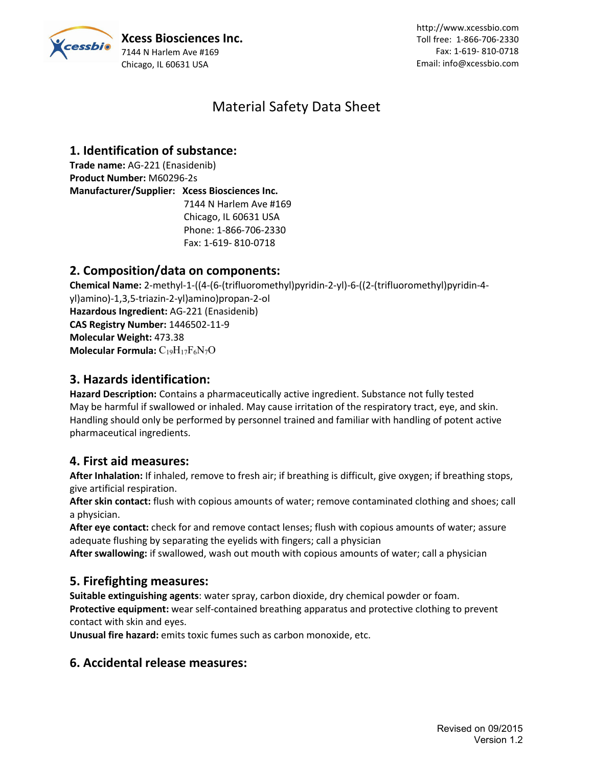

# Material Safety Data Sheet

# **1. Identification of substance:**

**Trade name:** AG-221 (Enasidenib) **Product Number:** M60296-2s **Manufacturer/Supplier: Xcess Biosciences Inc.** 7144 N Harlem Ave #169 Chicago, IL 60631 USA Phone: 1-866-706-2330 Fax: 1-619- 810-0718

## **2. Composition/data on components:**

**Chemical Name:** 2-methyl-1-((4-(6-(trifluoromethyl)pyridin-2-yl)-6-((2-(trifluoromethyl)pyridin-4 yl)amino)-1,3,5-triazin-2-yl)amino)propan-2-ol **Hazardous Ingredient:** AG-221 (Enasidenib) **CAS Registry Number:** 1446502-11-9 **Molecular Weight:** 473.38 **Molecular Formula:** C<sub>19</sub>H<sub>17</sub>F<sub>6</sub>N<sub>7</sub>O

## **3. Hazards identification:**

Hazard Description: Contains a pharmaceutically active ingredient. Substance not fully tested May be harmful if swallowed or inhaled. May cause irritation of the respiratory tract, eye, and skin. Handling should only be performed by personnel trained and familiar with handling of potent active pharmaceutical ingredients.

### **4. First aid measures:**

**After Inhalation:** If inhaled, remove to fresh air; if breathing is difficult, give oxygen; if breathing stops, give artificial respiration.

**After skin contact:** flush with copious amounts of water; remove contaminated clothing and shoes; call a physician.

**After eye contact:** check for and remove contact lenses; flush with copious amounts of water; assure adequate flushing by separating the eyelids with fingers; call a physician

**After swallowing:** if swallowed, wash out mouth with copious amounts of water; call a physician

### **5. Firefighting measures:**

**Suitable extinguishing agents**: water spray, carbon dioxide, dry chemical powder or foam. **Protective equipment:** wear self-contained breathing apparatus and protective clothing to prevent contact with skin and eyes.

**Unusual fire hazard:** emits toxic fumes such as carbon monoxide, etc.

## **6. Accidental release measures:**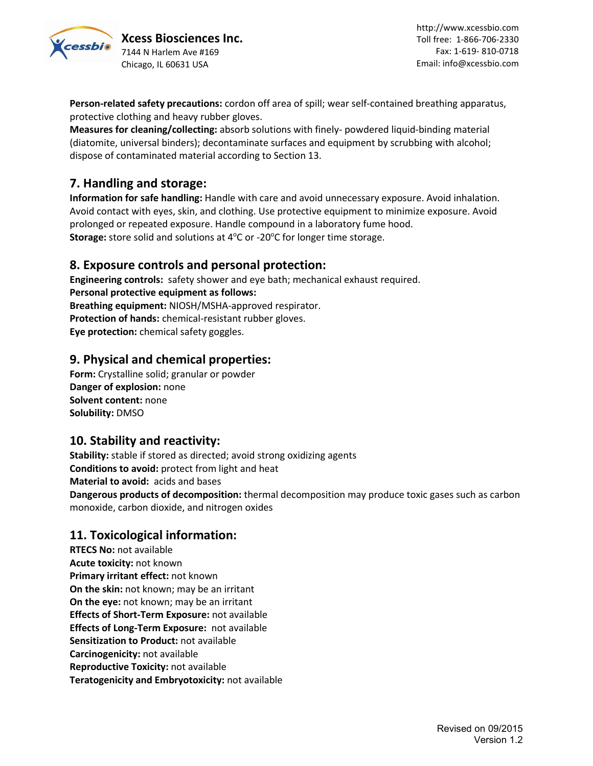

**Xcess Biosciences Inc.** 7144 N Harlem Ave #169 Chicago, IL 60631 USA

**Person-related safety precautions:** cordon off area of spill; wear self-contained breathing apparatus, protective clothing and heavy rubber gloves.

**Measures for cleaning/collecting:** absorb solutions with finely- powdered liquid-binding material (diatomite, universal binders); decontaminate surfaces and equipment by scrubbing with alcohol; dispose of contaminated material according to Section 13.

## **7. Handling and storage:**

**Information for safe handling:** Handle with care and avoid unnecessary exposure. Avoid inhalation. Avoid contact with eyes, skin, and clothing. Use protective equipment to minimize exposure. Avoid prolonged or repeated exposure. Handle compound in a laboratory fume hood. **Storage:** store solid and solutions at 4°C or -20°C for longer time storage.

#### **8. Exposure controls and personal protection:**

**Engineering controls:** safety shower and eye bath; mechanical exhaust required. **Personal protective equipment as follows: Breathing equipment:** NIOSH/MSHA-approved respirator. **Protection of hands:** chemical-resistant rubber gloves. **Eye protection:** chemical safety goggles.

### **9. Physical and chemical properties:**

**Form:** Crystalline solid; granular or powder **Danger of explosion:** none **Solvent content:** none **Solubility:** DMSO

### **10. Stability and reactivity:**

**Stability:** stable if stored as directed; avoid strong oxidizing agents **Conditions to avoid:** protect from light and heat **Material to avoid:** acids and bases **Dangerous products of decomposition:** thermal decomposition may produce toxic gases such as carbon monoxide, carbon dioxide, and nitrogen oxides

### **11. Toxicological information:**

**RTECS No:** not available **Acute toxicity:** not known **Primary irritant effect:** not known **On the skin:** not known; may be an irritant **On the eye:** not known; may be an irritant **Effects of Short-Term Exposure:** not available **Effects of Long-Term Exposure:** not available **Sensitization to Product:** not available **Carcinogenicity:** not available **Reproductive Toxicity:** not available **Teratogenicity and Embryotoxicity:** not available